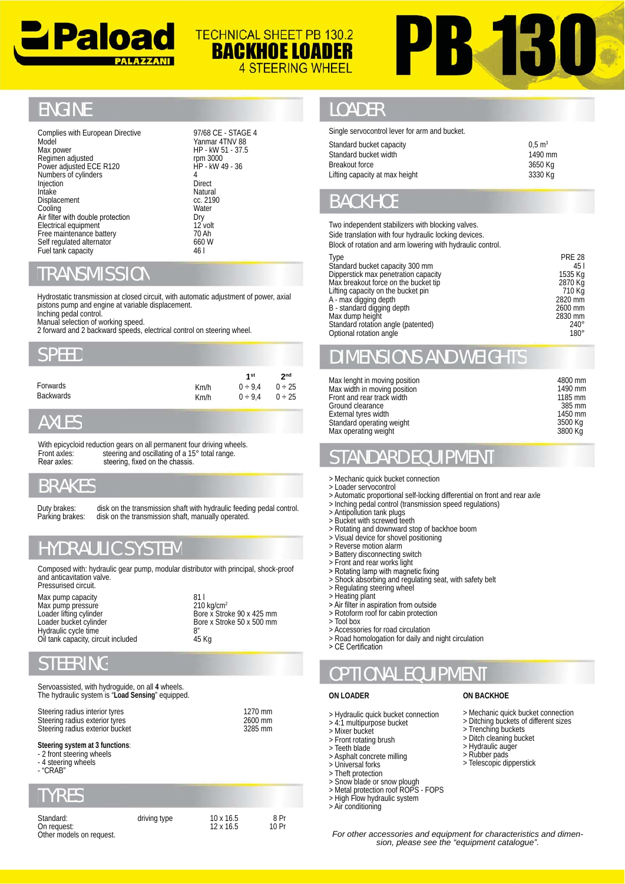



### **ENGINE**

97/68 CE - STAGE 4 Yanmar 4TNV 88 HP - kW 51 - 37.5 rpm 3000 HP - kW 49 - 36 4 Direct Natural Natural cc. 2190 Water Dry  $12$  volt 70 Ah 660 W<br>46 I 46 l

**TECHNICAL SHEET PB 130.2 BACKHOE LOADER** 

**4 STEERING WHEEL** 

### TRANSMISSIO

| <b>SPEED</b>                                                          |              |                                                 |                                          |
|-----------------------------------------------------------------------|--------------|-------------------------------------------------|------------------------------------------|
| Forwards<br><b>Backwards</b>                                          | Km/h<br>Km/h | 1 <sup>st</sup><br>$0 \div 9.4$<br>$0 \div 9.4$ | 2 <sub>nd</sub><br>$0 \div 25$<br>0 ÷ 25 |
| <b>AXLES</b>                                                          |              |                                                 |                                          |
| With epicycloid reduction gears on all permanent four driving wheels. |              |                                                 |                                          |

### AXLES

### BRAKES

# HYDRAULIC SYSTEM

### STEERING

| The hydraulic system is "Load Sensing" equipped. |         |
|--------------------------------------------------|---------|
| Steering radius interior tyres                   | 1270 mm |
| Steering radius exterior tyres                   | 2600 mm |
| Steering radius exterior bucket                  | 3285 mm |

#### **Steering system at 3 functions**:

- 2 front steering wheels

- 4 steering wheels - "CRAB"

# TYRES

| Standard:<br>On request:<br>Other models on request. | driving type | $10 \times 16.5$<br>$12 \times 16.5$ |
|------------------------------------------------------|--------------|--------------------------------------|
|                                                      |              |                                      |

### LOADER

| Standard bucket capacity       | $0.5 \text{ m}^3$ |
|--------------------------------|-------------------|
| Standard bucket width          | 1490 mm           |
| Breakout force                 | 3650 Ka           |
| Lifting capacity at max height | 3330 Ka           |
|                                |                   |

## BACKHOE

| <u>iviouei</u><br>Max power<br>Regimen adjusted<br>Power adjusted ECE R120<br>Numbers of cylinders<br>Injection<br>Intake                                                                                                                                                                                   | 1'dillildi 4 i IVV öö<br>HP - kW 51 - 37.5<br>rpm 3000<br>HP - kW 49 - 36<br>4<br>Direct<br>Natural |                                     | Standard bucket capacity<br>Standard bucket width<br><b>Breakout force</b><br>Lifting capacity at max height                                                                                                                                                                                                                                             |                                                                                                                               | $0,5 \text{ m}^3$<br>1490 mm<br>3650 Kg<br>3330 Kg                                           |
|-------------------------------------------------------------------------------------------------------------------------------------------------------------------------------------------------------------------------------------------------------------------------------------------------------------|-----------------------------------------------------------------------------------------------------|-------------------------------------|----------------------------------------------------------------------------------------------------------------------------------------------------------------------------------------------------------------------------------------------------------------------------------------------------------------------------------------------------------|-------------------------------------------------------------------------------------------------------------------------------|----------------------------------------------------------------------------------------------|
| Displacement<br>Cooling<br>Air filter with double protection<br>Electrical equipment<br>Free maintenance battery<br>Self regulated alternator<br>Fuel tank capacity                                                                                                                                         | cc. 2190<br>Water<br>Dry<br>12 volt<br>70 Ah<br>660W<br>46 I                                        |                                     | <b>BACKHOE</b><br>Two independent stabilizers with blocking valves.<br>Side translation with four hydraulic locking devices.<br>Block of rotation and arm lowering with hydraulic control.<br><b>Type</b>                                                                                                                                                |                                                                                                                               | <b>PRE 28</b>                                                                                |
| <b>TRANSMISSION</b><br>Hydrostatic transmission at closed circuit, with automatic adjustment of power, axial<br>pistons pump and engine at variable displacement.<br>Inching pedal control.<br>Manual selection of working speed.<br>2 forward and 2 backward speeds, electrical control on steering wheel. |                                                                                                     |                                     | Standard bucket capacity 300 mm<br>Dipperstick max penetration capacity<br>Max breakout force on the bucket tip<br>Lifting capacity on the bucket pin<br>A - max digging depth<br>B - standard digging depth<br>Max dump height<br>Standard rotation angle (patented)<br>Optional rotation angle                                                         |                                                                                                                               | 45 I<br>1535 Kg<br>2870 Kg<br>710 Kg<br>2820 mm<br>2600 mm<br>2830 mm<br>$240^\circ$<br>180° |
| SPEED                                                                                                                                                                                                                                                                                                       |                                                                                                     |                                     | <b>DIMENSIONS AND WEIGHTS</b>                                                                                                                                                                                                                                                                                                                            |                                                                                                                               |                                                                                              |
| Forwards<br>Backwards<br><b>AXLES</b>                                                                                                                                                                                                                                                                       | 1 <sup>st</sup><br>$0 \div 9.4$<br>Km/h<br>$0 \div 9.4$<br>Km/h                                     | 2 <sub>nd</sub><br>0 ÷ 25<br>0 ÷ 25 | Max lenght in moving position<br>Max width in moving position<br>Front and rear track width<br>Ground clearance<br>External tyres width<br>Standard operating weight                                                                                                                                                                                     |                                                                                                                               | 4800 mm<br>1490 mm<br>1185 mm<br>385 mm<br>1450 mm<br>3500 Kg                                |
| With epicycloid reduction gears on all permanent four driving wheels.<br>steering and oscillating of a 15° total range.<br>Front axles:<br>Rear axles:<br>steering, fixed on the chassis.                                                                                                                   |                                                                                                     |                                     | Max operating weight<br><b>STANDARD EQUIPMENT</b>                                                                                                                                                                                                                                                                                                        |                                                                                                                               | 3800 Kg                                                                                      |
| <b>BRAKES</b>                                                                                                                                                                                                                                                                                               |                                                                                                     |                                     | > Mechanic quick bucket connection<br>> Loader servocontrol                                                                                                                                                                                                                                                                                              |                                                                                                                               |                                                                                              |
| Duty brakes:<br>disk on the transmission shaft with hydraulic feeding pedal control.<br>Parking brakes:<br>disk on the transmission shaft, manually operated.<br><b>HYDRAULIC SYSTEM</b>                                                                                                                    |                                                                                                     |                                     | > Automatic proportional self-locking differential on front and rear axle<br>> Inching pedal control (transmission speed regulations)<br>> Antipollution tank plugs<br>> Bucket with screwed teeth<br>> Rotating and downward stop of backhoe boom<br>> Visual device for shovel positioning<br>> Reverse motion alarm<br>> Battery disconnecting switch |                                                                                                                               |                                                                                              |
| Composed with: hydraulic gear pump, modular distributor with principal, shock-proof<br>and anticavitation valve.<br>Pressurised circuit.<br>Max pump capacity<br>Max pump pressure                                                                                                                          | 81 I<br>$210 \text{ kg/cm}^2$<br>Bore x Stroke 90 x 425 mm                                          |                                     | > Front and rear works light<br>> Rotating lamp with magnetic fixing<br>> Shock absorbing and regulating seat, with safety belt<br>> Regulating steering wheel<br>> Heating plant<br>> Air filter in aspiration from outside<br>> Rotoform roof for cabin protection                                                                                     |                                                                                                                               |                                                                                              |
| Loader lifting cylinder<br>Loader bucket cylinder<br>Hydraulic cycle time<br>Oil tank capacity, circuit included                                                                                                                                                                                            | Bore x Stroke 50 x 500 mm<br>8″<br>45 Kg                                                            |                                     | > Tool box<br>> Accessories for road circulation<br>> Road homologation for daily and night circulation<br>> CE Certification                                                                                                                                                                                                                            |                                                                                                                               |                                                                                              |
| <b>STEERING</b>                                                                                                                                                                                                                                                                                             |                                                                                                     |                                     | <b>OPTIONAL EQUIPMENT</b>                                                                                                                                                                                                                                                                                                                                |                                                                                                                               |                                                                                              |
| Servoassisted, with hydroguide, on all 4 wheels.<br>The hydraulic system is "Load Sensing" equipped.                                                                                                                                                                                                        |                                                                                                     |                                     | <b>ON LOADER</b>                                                                                                                                                                                                                                                                                                                                         | <b>ON BACKHOE</b>                                                                                                             |                                                                                              |
| Steering radius interior tyres<br>Steering radius exterior tyres<br>Steering radius exterior bucket                                                                                                                                                                                                         | 1270 mm<br>2600 mm<br>3285 mm                                                                       |                                     | > Hydraulic quick bucket connection<br>> 4:1 multipurpose bucket<br>> Mixer bucket<br>> Front rotating brush                                                                                                                                                                                                                                             | > Mechanic quick bucket connection<br>> Ditching buckets of different sizes<br>> Trenching buckets<br>> Ditch cleaning bucket |                                                                                              |
| Steering system at 3 functions:<br>- 2 front steering wheels                                                                                                                                                                                                                                                |                                                                                                     |                                     | > Teeth blade<br>Acphalt concroto millipa                                                                                                                                                                                                                                                                                                                | > Hydraulic auger<br>$>$ Rubber pads                                                                                          |                                                                                              |

# DIMENSIONS AND WEIGHTS

| Max lenght in moving position | 4800 mm   |
|-------------------------------|-----------|
| Max width in moving position  | 1490 mm   |
| Front and rear track width    | $1185$ mm |
| Ground clearance              | 385 mm    |
| External tyres width          | 1450 mm   |
| Standard operating weight     | 3500 Kg   |
| Max operating weight          | 3800 Kg   |

### STANDARD EQUIPMENT

- > Loader servocontrol
- > Automatic proportional self-locking differential on front and rear axle > Inching pedal control (transmission speed regulations)
- > Antipollution tank plugs
- > Bucket with screwed teeth
- > Rotating and downward stop of backhoe boom
- 
- > Visual device for shovel positioning > Reverse motion alarm
- > Battery disconnecting switch
- > Front and rear works light<br>> Rotating lamp with magne
- Rotating lamp with magnetic fixing rigs<br>interfactor of backhoe boom<br>and stop of backhoe boom<br>wel positioning<br>m<br>argentic fixing<br>interval requiating<br>d requiating seat, with safety belt
- > Shock absorbing and regulating seat, with safety belt > Regulating steering wheel
- 
- > Heating plant<br>> Air filter in aspiration from outside
- 
- > Rotoform roof for cabin protection<br>> Tool box > Tool box
- > Accessories for road circulation
- > Accessories for road circulation<br>> Road homologation for daily and night circulation
- > CE Certification

## OPTIONAL EQUIPMENT

#### **ON LOADER**

- > Hydraulic quick bucket connection
- > 4:1 multipurpose bucket<br>> Mixer bucket<br>> Front rotating brush<br>> Teeth blade > Mixer bucket
- > Front rotating brush
- > Teeth blade
- > Asphalt concrete milling
- > Universal forks >
- > Theft protection
- > Snow blade or snow plough > Metal protection roof ROPS FOPS <sup>&</sup>gt;
- 
- > High Flow hydraulic system
- > Air conditioning conditioning

 8 Pr 10 Pr

### **ON BACKHOE**

- > Trenching buckets
- > Ditch cleaning bucket
- > Hydraulic auger > Rubber pads
- > Telescopic dipperstick

*For other accessories and equipment for characteristics and dimension, please see the "equipment catalogue".*